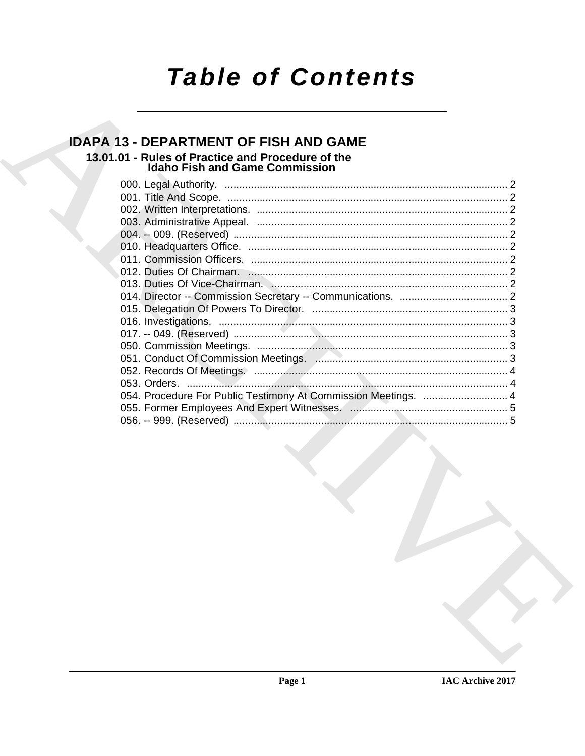# **Table of Contents**

### **IDAPA 13 - DEPARTMENT OF FISH AND GAME** 13.01.01 - Rules of Practice and Procedure of the **Idaho Fish and Game Commission**

|  | 054. Procedure For Public Testimony At Commission Meetings.  4 |  |
|--|----------------------------------------------------------------|--|
|  |                                                                |  |
|  |                                                                |  |
|  |                                                                |  |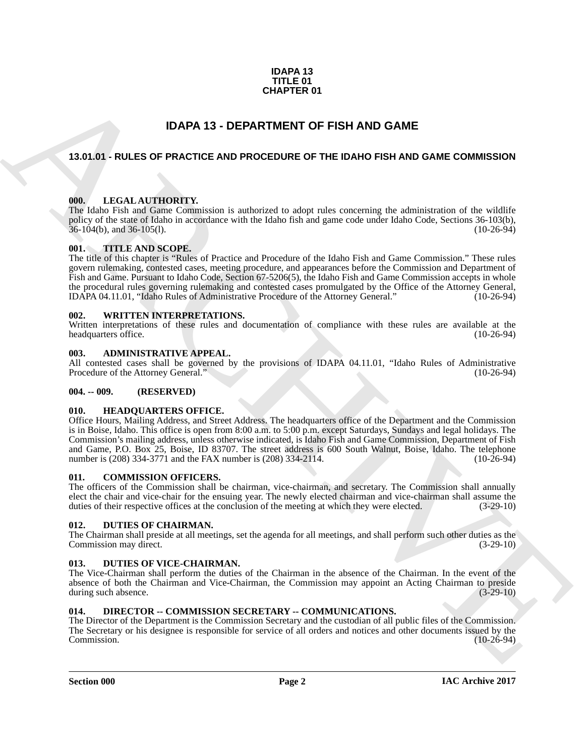#### **IDAPA 13 TITLE 01 CHAPTER 01**

## **IDAPA 13 - DEPARTMENT OF FISH AND GAME**

#### <span id="page-1-1"></span><span id="page-1-0"></span>**13.01.01 - RULES OF PRACTICE AND PROCEDURE OF THE IDAHO FISH AND GAME COMMISSION**

#### <span id="page-1-2"></span>**000. LEGAL AUTHORITY.**

The Idaho Fish and Game Commission is authorized to adopt rules concerning the administration of the wildlife policy of the state of Idaho in accordance with the Idaho fish and game code under Idaho Code, Sections 36-103(b),  $36-104(b)$ , and  $36-105(l)$ .

#### <span id="page-1-3"></span>**001. TITLE AND SCOPE.**

The title of this chapter is "Rules of Practice and Procedure of the Idaho Fish and Game Commission." These rules govern rulemaking, contested cases, meeting procedure, and appearances before the Commission and Department of Fish and Game. Pursuant to Idaho Code, Section 67-5206(5), the Idaho Fish and Game Commission accepts in whole the procedural rules governing rulemaking and contested cases promulgated by the Office of the Attorney General,<br>IDAPA 04.11.01. "Idaho Rules of Administrative Procedure of the Attorney General." (10-26-94) IDAPA 04.11.01, "Idaho Rules of Administrative Procedure of the Attorney General."

#### <span id="page-1-4"></span>**002. WRITTEN INTERPRETATIONS.**

Written interpretations of these rules and documentation of compliance with these rules are available at the headquarters office. (10-26-94) headquarters office.

#### <span id="page-1-5"></span>**003. ADMINISTRATIVE APPEAL.**

All contested cases shall be governed by the provisions of IDAPA 04.11.01, "Idaho Rules of Administrative Procedure of the Attorney General." (10-26-94) Procedure of the Attorney General."

#### <span id="page-1-6"></span>**004. -- 009. (RESERVED)**

#### <span id="page-1-7"></span>**010. HEADQUARTERS OFFICE.**

**CHAPTER 01**<br> **IDAPA 13 - DEPARTMENT OF FISH AND GAME**<br>
13.01.01 - RULES OF PRACTICE AND PROCEDURE OF THE IDAHO FISH AND GAME COMMISSION<br>
14.01.1. **LEGAL AUTHORITY:**<br>
THE CALL AUTHORITY:<br>
THE CALL AUTHORITY:<br>
THE CALL AUT Office Hours, Mailing Address, and Street Address. The headquarters office of the Department and the Commission is in Boise, Idaho. This office is open from 8:00 a.m. to 5:00 p.m. except Saturdays, Sundays and legal holidays. The Commission's mailing address, unless otherwise indicated, is Idaho Fish and Game Commission, Department of Fish and Game, P.O. Box 25, Boise, ID 83707. The street address is 600 South Walnut, Boise, Idaho. The telephone number is (208) 334-3771 and the FAX number is (208) 334-2114. (10-26-94)

#### <span id="page-1-12"></span><span id="page-1-8"></span>**011. COMMISSION OFFICERS.**

The officers of the Commission shall be chairman, vice-chairman, and secretary. The Commission shall annually elect the chair and vice-chair for the ensuing year. The newly elected chairman and vice-chairman shall assume the duties of their respective offices at the conclusion of the meeting at which they were elected. (3-29-10)

#### <span id="page-1-14"></span><span id="page-1-9"></span>**012. DUTIES OF CHAIRMAN.**

The Chairman shall preside at all meetings, set the agenda for all meetings, and shall perform such other duties as the Commission may direct. (3-29-10) Commission may direct.

#### <span id="page-1-15"></span><span id="page-1-10"></span>**013. DUTIES OF VICE-CHAIRMAN.**

The Vice-Chairman shall perform the duties of the Chairman in the absence of the Chairman. In the event of the absence of both the Chairman and Vice-Chairman, the Commission may appoint an Acting Chairman to preside during such absence. (3-29-10) during such absence.

#### <span id="page-1-13"></span><span id="page-1-11"></span>**014. DIRECTOR -- COMMISSION SECRETARY -- COMMUNICATIONS.**

The Director of the Department is the Commission Secretary and the custodian of all public files of the Commission. The Secretary or his designee is responsible for service of all orders and notices and other documents issued by the Commission. (10-26-94) Commission. (10-26-94)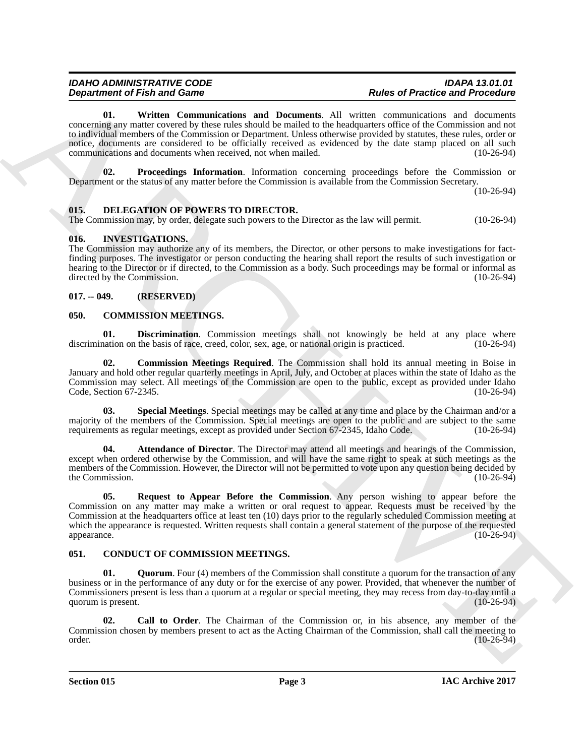#### *IDAHO ADMINISTRATIVE CODE IDAPA 13.01.01 Rules of Practice and Procedure*

<span id="page-2-15"></span>**01. Written Communications and Documents**. All written communications and documents concerning any matter covered by these rules should be mailed to the headquarters office of the Commission and not to individual members of the Commission or Department. Unless otherwise provided by statutes, these rules, order or notice, documents are considered to be officially received as evidenced by the date stamp placed on all such communications and documents when received, not when mailed. (10-26-94)

<span id="page-2-14"></span>**02. Proceedings Information**. Information concerning proceedings before the Commission or Department or the status of any matter before the Commission is available from the Commission Secretary.

(10-26-94)

#### <span id="page-2-0"></span>**015. DELEGATION OF POWERS TO DIRECTOR.**

The Commission may, by order, delegate such powers to the Director as the law will permit. (10-26-94)

#### <span id="page-2-16"></span><span id="page-2-1"></span>**016. INVESTIGATIONS.**

The Commission may authorize any of its members, the Director, or other persons to make investigations for factfinding purposes. The investigator or person conducting the hearing shall report the results of such investigation or hearing to the Director or if directed, to the Commission as a body. Such proceedings may be formal or informal as directed by the Commission. (10-26-94) directed by the Commission.

#### <span id="page-2-2"></span>**017. -- 049. (RESERVED)**

#### <span id="page-2-5"></span><span id="page-2-3"></span>**050. COMMISSION MEETINGS.**

<span id="page-2-8"></span>**01. Discrimination**. Commission meetings shall not knowingly be held at any place where nation on the basis of race, creed, color, sex, age, or national origin is practiced. (10-26-94) discrimination on the basis of race, creed, color, sex, age, or national origin is practiced.

<span id="page-2-7"></span>**02. Commission Meetings Required**. The Commission shall hold its annual meeting in Boise in January and hold other regular quarterly meetings in April, July, and October at places within the state of Idaho as the Commission may select. All meetings of the Commission are open to the public, except as provided under Idaho Code, Section 67-2345. Code, Section  $67-2345$ .

<span id="page-2-10"></span>**03. Special Meetings**. Special meetings may be called at any time and place by the Chairman and/or a majority of the members of the Commission. Special meetings are open to the public and are subject to the same<br>requirements as regular meetings, except as provided under Section 67-2345, Idaho Code. (10-26-94) requirements as regular meetings, except as provided under Section 67-2345, Idaho Code.

<span id="page-2-9"></span><span id="page-2-6"></span>**04. Attendance of Director**. The Director may attend all meetings and hearings of the Commission, except when ordered otherwise by the Commission, and will have the same right to speak at such meetings as the members of the Commission. However, the Director will not be permitted to vote upon any question being decided by the Commission. (10-26-94)

Department of Friend Game<br>
Commission and Communications, and Department, All patterns of Friedrich Communications,<br>
according the main control of the task of a distribution of the Hardward mixed by the first of Friedrich **05. Request to Appear Before the Commission**. Any person wishing to appear before the Commission on any matter may make a written or oral request to appear. Requests must be received by the Commission at the headquarters office at least ten (10) days prior to the regularly scheduled Commission meeting at which the appearance is requested. Written requests shall contain a general statement of the purpose of the requested appearance. (10-26-94) appearance. (10-26-94)

#### <span id="page-2-11"></span><span id="page-2-4"></span>**051. CONDUCT OF COMMISSION MEETINGS.**

<span id="page-2-13"></span>**01. Quorum**. Four (4) members of the Commission shall constitute a quorum for the transaction of any business or in the performance of any duty or for the exercise of any power. Provided, that whenever the number of Commissioners present is less than a quorum at a regular or special meeting, they may recess from day-to-day until a quorum is present. (10-26-94)

<span id="page-2-12"></span>**02. Call to Order**. The Chairman of the Commission or, in his absence, any member of the Commission chosen by members present to act as the Acting Chairman of the Commission, shall call the meeting to order. (10-26-94)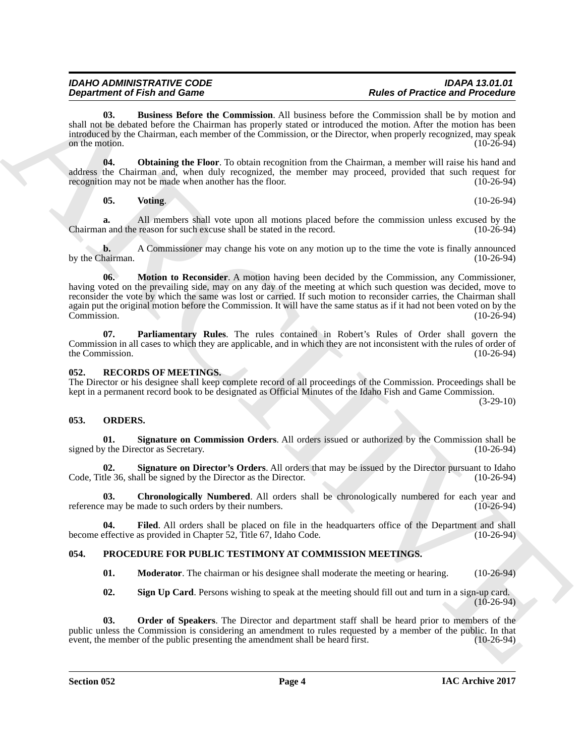<span id="page-3-3"></span>**03. Business Before the Commission**. All business before the Commission shall be by motion and shall not be debated before the Chairman has properly stated or introduced the motion. After the motion has been introduced by the Chairman, each member of the Commission, or the Director, when properly recognized, may speak on the motion.  $(10-26-94)$ 

**04. Obtaining the Floor**. To obtain recognition from the Chairman, a member will raise his hand and address the Chairman and, when duly recognized, the member may proceed, provided that such request for recognition may not be made when another has the floor. (10-26-94) recognition may not be made when another has the floor.

<span id="page-3-7"></span><span id="page-3-5"></span>**05.** Voting. (10-26-94)

**a.** All members shall vote upon all motions placed before the commission unless excused by the n and the reason for such excuse shall be stated in the record. (10-26-94) Chairman and the reason for such excuse shall be stated in the record.

<span id="page-3-4"></span>**b.** A Commissioner may change his vote on any motion up to the time the vote is finally announced hairman. (10-26-94) by the Chairman.

**Department of Friedrich Communisties.** All best as the communistics that  $\theta$  Freedom and Friedrich Communisties and the communisties and the communisties are communisticated the communistics and communistics are communi **06. Motion to Reconsider**. A motion having been decided by the Commission, any Commissioner, having voted on the prevailing side, may on any day of the meeting at which such question was decided, move to reconsider the vote by which the same was lost or carried. If such motion to reconsider carries, the Chairman shall again put the original motion before the Commission. It will have the same status as if it had not been voted on by the Commission. Commission. (10-26-94)

<span id="page-3-6"></span>**07. Parliamentary Rules**. The rules contained in Robert's Rules of Order shall govern the Commission in all cases to which they are applicable, and in which they are not inconsistent with the rules of order of the Commission. (10-26-94) the Commission.

#### <span id="page-3-17"></span><span id="page-3-0"></span>**052. RECORDS OF MEETINGS.**

The Director or his designee shall keep complete record of all proceedings of the Commission. Proceedings shall be kept in a permanent record book to be designated as Official Minutes of the Idaho Fish and Game Commission.

(3-29-10)

#### <span id="page-3-8"></span><span id="page-3-1"></span>**053. ORDERS.**

<span id="page-3-11"></span>**01. Signature on Commission Orders**. All orders issued or authorized by the Commission shall be signed by the Director as Secretary.

<span id="page-3-12"></span>**02.** Signature on Director's Orders. All orders that may be issued by the Director pursuant to Idaho the 36, shall be signed by the Director as the Director. (10-26-94) Code, Title 36, shall be signed by the Director as the Director.

<span id="page-3-9"></span>**03.** Chronologically Numbered. All orders shall be chronologically numbered for each year and e may be made to such orders by their numbers. (10-26-94) reference may be made to such orders by their numbers.

**04.** Filed. All orders shall be placed on file in the headquarters office of the Department and shall effective as provided in Chapter 52, Title 67, Idaho Code. (10-26-94) become effective as provided in Chapter 52, Title 67, Idaho Code.

#### <span id="page-3-2"></span>**054. PROCEDURE FOR PUBLIC TESTIMONY AT COMMISSION MEETINGS.**

<span id="page-3-16"></span><span id="page-3-14"></span><span id="page-3-13"></span><span id="page-3-10"></span>**01. Moderator**. The chairman or his designee shall moderate the meeting or hearing. (10-26-94)

<span id="page-3-15"></span>**02. Sign Up Card**. Persons wishing to speak at the meeting should fill out and turn in a sign-up card. (10-26-94)

**03. Order of Speakers**. The Director and department staff shall be heard prior to members of the public unless the Commission is considering an amendment to rules requested by a member of the public. In that event, the member of the public presenting the amendment shall be heard first. (10-26-94) event, the member of the public presenting the amendment shall be heard first.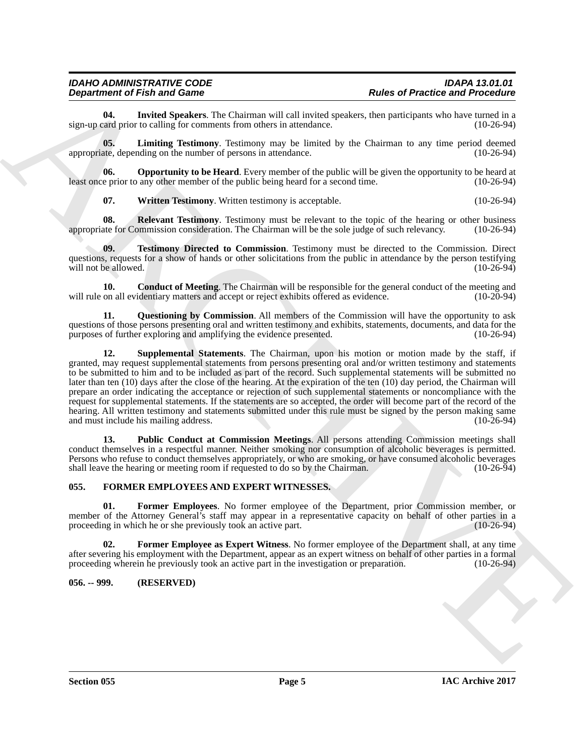## *IDAHO ADMINISTRATIVE CODE IDAPA 13.01.01*

<span id="page-4-6"></span>**04.** Invited Speakers. The Chairman will call invited speakers, then participants who have turned in a card prior to calling for comments from others in attendance. sign-up card prior to calling for comments from others in attendance.

<span id="page-4-7"></span>**05.** Limiting Testimony. Testimony may be limited by the Chairman to any time period deemed ate, depending on the number of persons in attendance. (10-26-94) appropriate, depending on the number of persons in attendance.

**06. Opportunity to be Heard**. Every member of the public will be given the opportunity to be heard at e prior to any other member of the public being heard for a second time. (10-26-94) least once prior to any other member of the public being heard for a second time.

<span id="page-4-14"></span><span id="page-4-13"></span><span id="page-4-11"></span><span id="page-4-8"></span>**07. Written Testimony**. Written testimony is acceptable. (10-26-94)

**08.** Relevant Testimony. Testimony must be relevant to the topic of the hearing or other business ate for Commission consideration. The Chairman will be the sole judge of such relevancy. (10-26-94) appropriate for Commission consideration. The Chairman will be the sole judge of such relevancy.

**09. Testimony Directed to Commission**. Testimony must be directed to the Commission. Direct questions, requests for a show of hands or other solicitations from the public in attendance by the person testifying will not be allowed. (10-26-94) will not be allowed.

<span id="page-4-5"></span>**10. Conduct of Meeting**. The Chairman will be responsible for the general conduct of the meeting and on all evidentiary matters and accept or reject exhibits offered as evidence. (10-20-94) will rule on all evidentiary matters and accept or reject exhibits offered as evidence.

<span id="page-4-12"></span><span id="page-4-10"></span>**11. Questioning by Commission**. All members of the Commission will have the opportunity to ask questions of those persons presenting oral and written testimony and exhibits, statements, documents, and data for the purposes of further exploring and amplifying the evidence presented. (10-26-94) purposes of further exploring and amplifying the evidence presented.

**Expansion of Finite and Some Constraints of the state of Practice and Procession.**<br>
Ages of Packing and Some Construction of the state of the state of the state of the state of the state of the state of the state of the **12. Supplemental Statements**. The Chairman, upon his motion or motion made by the staff, if granted, may request supplemental statements from persons presenting oral and/or written testimony and statements to be submitted to him and to be included as part of the record. Such supplemental statements will be submitted no later than ten (10) days after the close of the hearing. At the expiration of the ten (10) day period, the Chairman will prepare an order indicating the acceptance or rejection of such supplemental statements or noncompliance with the request for supplemental statements. If the statements are so accepted, the order will become part of the record of the hearing. All written testimony and statements submitted under this rule must be signed by the person making same and must include his mailing address. (10-26-94) and must include his mailing address.

<span id="page-4-9"></span>**13. Public Conduct at Commission Meetings**. All persons attending Commission meetings shall conduct themselves in a respectful manner. Neither smoking nor consumption of alcoholic beverages is permitted. Persons who refuse to conduct themselves appropriately, or who are smoking, or have consumed alcoholic beverages shall leave the hearing or meeting room if requested to do so by the Chairman. (10-26-94)

#### <span id="page-4-2"></span><span id="page-4-0"></span>**055. FORMER EMPLOYEES AND EXPERT WITNESSES.**

<span id="page-4-4"></span>**01. Former Employees**. No former employee of the Department, prior Commission member, or member of the Attorney General's staff may appear in a representative capacity on behalf of other parties in a<br>proceeding in which he or she previously took an active part. (10-26-94) proceeding in which he or she previously took an active part.

<span id="page-4-3"></span>**02. Former Employee as Expert Witness**. No former employee of the Department shall, at any time after severing his employment with the Department, appear as an expert witness on behalf of other parties in a formal proceeding wherein he previously took an active part in the investigation or preparation. (10-26-94)

#### <span id="page-4-1"></span>**056. -- 999. (RESERVED)**